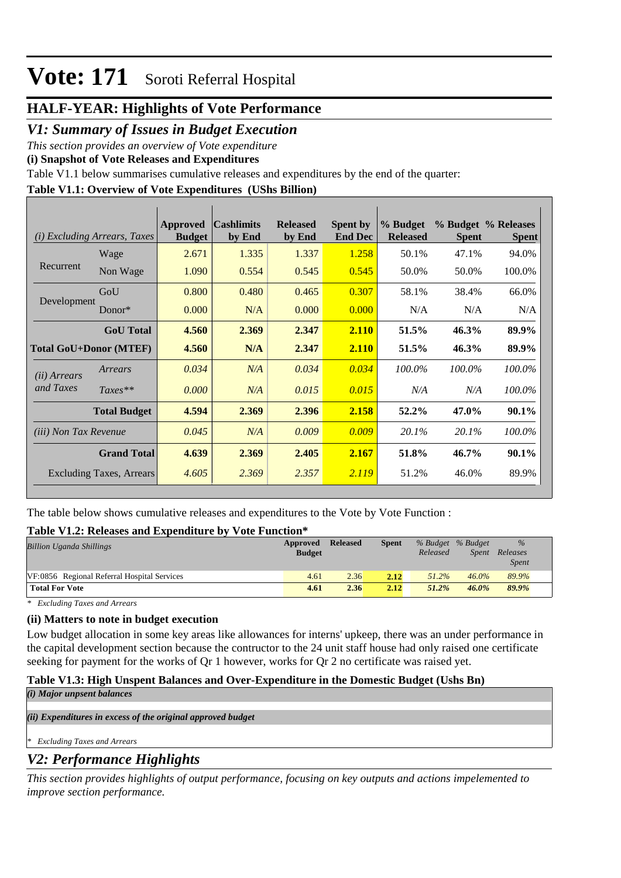### **HALF-YEAR: Highlights of Vote Performance**

### *V1: Summary of Issues in Budget Execution*

*This section provides an overview of Vote expenditure* 

**(i) Snapshot of Vote Releases and Expenditures**

Table V1.1 below summarises cumulative releases and expenditures by the end of the quarter:

#### **Table V1.1: Overview of Vote Expenditures (UShs Billion)**

| (i)                           | <i>Excluding Arrears, Taxes</i> | Approved<br><b>Budget</b> | <b>Cashlimits</b><br>by End | <b>Released</b><br>by End | <b>Spent by</b><br><b>End Dec</b> | % Budget<br><b>Released</b> | <b>Spent</b> | % Budget % Releases<br><b>Spent</b> |
|-------------------------------|---------------------------------|---------------------------|-----------------------------|---------------------------|-----------------------------------|-----------------------------|--------------|-------------------------------------|
|                               | Wage                            | 2.671                     | 1.335                       | 1.337                     | 1.258                             | 50.1%                       | 47.1%        | 94.0%                               |
| Recurrent                     | Non Wage                        | 1.090                     | 0.554                       | 0.545                     | 0.545                             | 50.0%                       | 50.0%        | 100.0%                              |
|                               | GoU                             | 0.800                     | 0.480                       | 0.465                     | 0.307                             | 58.1%                       | 38.4%        | 66.0%                               |
| Development                   | Donor*                          | 0.000                     | N/A                         | 0.000                     | 0.000                             | N/A                         | N/A          | N/A                                 |
|                               | <b>GoU</b> Total                | 4.560                     | 2.369                       | 2.347                     | 2.110                             | 51.5%                       | 46.3%        | 89.9%                               |
| <b>Total GoU+Donor (MTEF)</b> |                                 | 4.560                     | N/A                         | 2.347                     | 2.110                             | 51.5%                       | 46.3%        | 89.9%                               |
| ( <i>ii</i> ) Arrears         | Arrears                         | 0.034                     | N/A                         | 0.034                     | 0.034                             | 100.0%                      | 100.0%       | 100.0%                              |
| and Taxes                     | $Taxes**$                       | 0.000                     | N/A                         | 0.015                     | 0.015                             | N/A                         | N/A          | 100.0%                              |
|                               | <b>Total Budget</b>             | 4.594                     | 2.369                       | 2.396                     | 2.158                             | 52.2%                       | 47.0%        | 90.1%                               |
| <i>(iii)</i> Non Tax Revenue  |                                 | 0.045                     | N/A                         | 0.009                     | 0.009                             | 20.1%                       | 20.1%        | 100.0%                              |
|                               | <b>Grand Total</b>              | 4.639                     | 2.369                       | 2.405                     | 2.167                             | 51.8%                       | 46.7%        | 90.1%                               |
|                               | <b>Excluding Taxes, Arrears</b> | 4.605                     | 2.369                       | 2.357                     | 2.119                             | 51.2%                       | 46.0%        | 89.9%                               |

The table below shows cumulative releases and expenditures to the Vote by Vote Function :

#### **Table V1.2: Releases and Expenditure by Vote Function\***

| <b>Billion Uganda Shillings</b>             | Approved<br><b>Budget</b> | <b>Released</b> | <b>Spent</b> | % Budget % Budget<br>Released | <i>Spent</i> | $\%$<br>Releases<br><b>Spent</b> |
|---------------------------------------------|---------------------------|-----------------|--------------|-------------------------------|--------------|----------------------------------|
| VF:0856 Regional Referral Hospital Services | 4.61                      | 2.36            | 2.12         | $51.2\%$                      | $46.0\%$     | 89.9%                            |
| <b>Total For Vote</b>                       | 4.61                      | 2.36            | 2.12         | 51.2%                         | 46.0%        | 89.9%                            |

*\* Excluding Taxes and Arrears*

#### **(ii) Matters to note in budget execution**

Low budget allocation in some key areas like allowances for interns' upkeep, there was an under performance in the capital development section because the contructor to the 24 unit staff house had only raised one certificate seeking for payment for the works of Qr 1 however, works for Qr 2 no certificate was raised yet.

#### **Table V1.3: High Unspent Balances and Over-Expenditure in the Domestic Budget (Ushs Bn)**

|  |  |  | (i) Major unpsent balances |
|--|--|--|----------------------------|
|--|--|--|----------------------------|

*(ii) Expenditures in excess of the original approved budget*

*\* Excluding Taxes and Arrears*

## *V2: Performance Highlights*

*This section provides highlights of output performance, focusing on key outputs and actions impelemented to improve section performance.*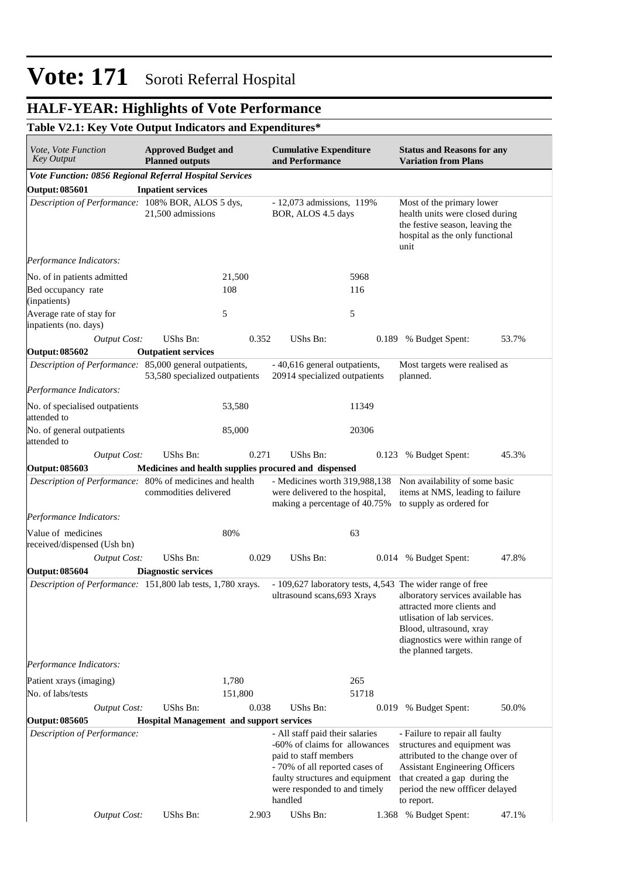### **HALF-YEAR: Highlights of Vote Performance**

#### **Table V2.1: Key Vote Output Indicators and Expenditures\***

| <i>Vote, Vote Function</i><br>Key Output                    | <b>Approved Budget and</b><br><b>Planned outputs</b> |         | <b>Cumulative Expenditure</b><br>and Performance                                                                                                                                                          |       | <b>Status and Reasons for any</b><br><b>Variation from Plans</b>                                                                                                                                                                                   |       |
|-------------------------------------------------------------|------------------------------------------------------|---------|-----------------------------------------------------------------------------------------------------------------------------------------------------------------------------------------------------------|-------|----------------------------------------------------------------------------------------------------------------------------------------------------------------------------------------------------------------------------------------------------|-------|
| Vote Function: 0856 Regional Referral Hospital Services     |                                                      |         |                                                                                                                                                                                                           |       |                                                                                                                                                                                                                                                    |       |
| <b>Output: 085601</b>                                       | <b>Inpatient services</b>                            |         |                                                                                                                                                                                                           |       |                                                                                                                                                                                                                                                    |       |
| Description of Performance: 108% BOR, ALOS 5 dys,           | 21,500 admissions                                    |         | - 12,073 admissions, 119%<br>BOR, ALOS 4.5 days                                                                                                                                                           |       | Most of the primary lower<br>health units were closed during<br>the festive season, leaving the<br>hospital as the only functional<br>unit                                                                                                         |       |
| Performance Indicators:                                     |                                                      |         |                                                                                                                                                                                                           |       |                                                                                                                                                                                                                                                    |       |
| No. of in patients admitted                                 |                                                      | 21,500  |                                                                                                                                                                                                           | 5968  |                                                                                                                                                                                                                                                    |       |
| Bed occupancy rate<br>(inpatients)                          |                                                      | 108     |                                                                                                                                                                                                           | 116   |                                                                                                                                                                                                                                                    |       |
| Average rate of stay for<br>inpatients (no. days)           |                                                      | 5       |                                                                                                                                                                                                           | 5     |                                                                                                                                                                                                                                                    |       |
| <b>Output Cost:</b>                                         | UShs Bn:                                             | 0.352   | <b>UShs Bn:</b>                                                                                                                                                                                           | 0.189 | % Budget Spent:                                                                                                                                                                                                                                    | 53.7% |
| <b>Output: 085602</b>                                       | <b>Outpatient services</b>                           |         |                                                                                                                                                                                                           |       |                                                                                                                                                                                                                                                    |       |
| Description of Performance: 85,000 general outpatients,     | 53,580 specialized outpatients                       |         | - 40,616 general outpatients,<br>20914 specialized outpatients                                                                                                                                            |       | Most targets were realised as<br>planned.                                                                                                                                                                                                          |       |
| Performance Indicators:                                     |                                                      |         |                                                                                                                                                                                                           |       |                                                                                                                                                                                                                                                    |       |
| No. of specialised outpatients<br>attended to               |                                                      | 53,580  |                                                                                                                                                                                                           | 11349 |                                                                                                                                                                                                                                                    |       |
| No. of general outpatients<br>attended to                   |                                                      | 85,000  |                                                                                                                                                                                                           | 20306 |                                                                                                                                                                                                                                                    |       |
| <b>Output Cost:</b>                                         | UShs Bn:                                             | 0.271   | UShs Bn:                                                                                                                                                                                                  | 0.123 | % Budget Spent:                                                                                                                                                                                                                                    | 45.3% |
| <b>Output: 085603</b>                                       | Medicines and health supplies procured and dispensed |         |                                                                                                                                                                                                           |       |                                                                                                                                                                                                                                                    |       |
| Description of Performance: 80% of medicines and health     | commodities delivered                                |         | were delivered to the hospital,<br>making a percentage of 40.75%                                                                                                                                          |       | - Medicines worth 319,988,138 Non availability of some basic<br>items at NMS, leading to failure<br>to supply as ordered for                                                                                                                       |       |
| Performance Indicators:                                     |                                                      |         |                                                                                                                                                                                                           |       |                                                                                                                                                                                                                                                    |       |
| Value of medicines                                          |                                                      | 80%     |                                                                                                                                                                                                           | 63    |                                                                                                                                                                                                                                                    |       |
| received/dispensed (Ush bn)                                 |                                                      |         |                                                                                                                                                                                                           |       |                                                                                                                                                                                                                                                    |       |
| <b>Output Cost:</b>                                         | UShs Bn:                                             | 0.029   | <b>UShs Bn:</b>                                                                                                                                                                                           |       | 0.014 % Budget Spent:                                                                                                                                                                                                                              | 47.8% |
| <b>Output: 085604</b>                                       | <b>Diagnostic services</b>                           |         |                                                                                                                                                                                                           |       |                                                                                                                                                                                                                                                    |       |
| Description of Performance: 151,800 lab tests, 1,780 xrays. |                                                      |         | ultrasound scans, 693 Xrays                                                                                                                                                                               |       | - 109,627 laboratory tests, 4,543 The wider range of free<br>alboratory services available has<br>attracted more clients and<br>utlisation of lab services.<br>Blood, ultrasound, xray<br>diagnostics were within range of<br>the planned targets. |       |
| Performance Indicators:                                     |                                                      |         |                                                                                                                                                                                                           |       |                                                                                                                                                                                                                                                    |       |
| Patient xrays (imaging)                                     |                                                      | 1,780   |                                                                                                                                                                                                           | 265   |                                                                                                                                                                                                                                                    |       |
| No. of labs/tests                                           |                                                      | 151,800 |                                                                                                                                                                                                           | 51718 |                                                                                                                                                                                                                                                    |       |
| <b>Output Cost:</b>                                         | UShs Bn:                                             | 0.038   | UShs Bn:                                                                                                                                                                                                  | 0.019 | % Budget Spent:                                                                                                                                                                                                                                    | 50.0% |
| <b>Output: 085605</b>                                       | <b>Hospital Management and support services</b>      |         |                                                                                                                                                                                                           |       |                                                                                                                                                                                                                                                    |       |
| Description of Performance:                                 |                                                      |         | - All staff paid their salaries<br>-60% of claims for allowances<br>paid to staff members<br>- 70% of all reported cases of<br>faulty structures and equipment<br>were responded to and timely<br>handled |       | - Failure to repair all faulty<br>structures and equipment was<br>attributed to the change over of<br><b>Assistant Engineering Officers</b><br>that created a gap during the<br>period the new offficer delayed<br>to report.                      |       |
| <b>Output Cost:</b>                                         | UShs Bn:                                             | 2.903   | UShs Bn:                                                                                                                                                                                                  |       | 1.368 % Budget Spent:                                                                                                                                                                                                                              | 47.1% |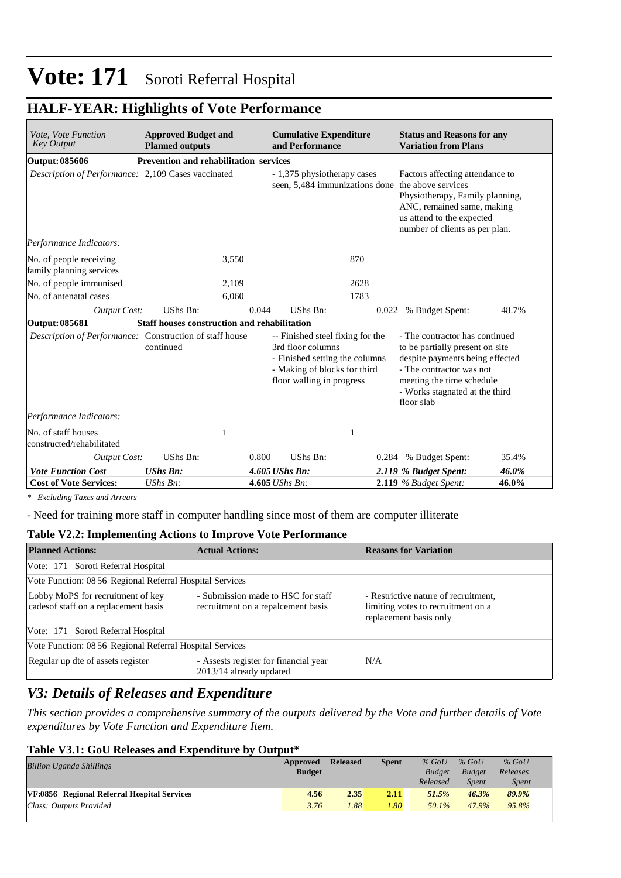### **HALF-YEAR: Highlights of Vote Performance**

| Vote, Vote Function<br><b>Key Output</b>                                      | <b>Approved Budget and</b><br><b>Planned outputs</b> | <b>Cumulative Expenditure</b><br>and Performance                                                                                                     | <b>Status and Reasons for any</b><br><b>Variation from Plans</b>                                                                                                                                              |
|-------------------------------------------------------------------------------|------------------------------------------------------|------------------------------------------------------------------------------------------------------------------------------------------------------|---------------------------------------------------------------------------------------------------------------------------------------------------------------------------------------------------------------|
| <b>Output: 085606</b>                                                         | <b>Prevention and rehabilitation services</b>        |                                                                                                                                                      |                                                                                                                                                                                                               |
| Description of Performance: 2,109 Cases vaccinated<br>Performance Indicators: |                                                      | - 1,375 physiotherapy cases<br>seen, 5,484 immunizations done the above services                                                                     | Factors affecting attendance to<br>Physiotherapy, Family planning,<br>ANC, remained same, making<br>us attend to the expected<br>number of clients as per plan.                                               |
| No. of people receiving                                                       | 3,550                                                | 870                                                                                                                                                  |                                                                                                                                                                                                               |
| family planning services                                                      |                                                      |                                                                                                                                                      |                                                                                                                                                                                                               |
| No. of people immunised                                                       | 2,109                                                | 2628                                                                                                                                                 |                                                                                                                                                                                                               |
| No. of antenatal cases                                                        | 6.060                                                | 1783                                                                                                                                                 |                                                                                                                                                                                                               |
| <b>Output Cost:</b>                                                           | <b>UShs Bn:</b>                                      | 0.044<br>UShs Bn:                                                                                                                                    | % Budget Spent:<br>48.7%<br>0.022                                                                                                                                                                             |
| Output: 085681                                                                | <b>Staff houses construction and rehabilitation</b>  |                                                                                                                                                      |                                                                                                                                                                                                               |
| Description of Performance: Construction of staff house                       | continued                                            | -- Finished steel fixing for the<br>3rd floor columns<br>- Finished setting the columns<br>- Making of blocks for third<br>floor walling in progress | - The contractor has continued<br>to be partially present on site<br>despite payments being effected<br>- The contractor was not<br>meeting the time schedule<br>- Works stagnated at the third<br>floor slab |
| Performance Indicators:                                                       |                                                      |                                                                                                                                                      |                                                                                                                                                                                                               |
| No. of staff houses<br>constructed/rehabilitated                              | 1                                                    | 1                                                                                                                                                    |                                                                                                                                                                                                               |
| <b>Output Cost:</b>                                                           | UShs Bn:                                             | UShs Bn:<br>0.800                                                                                                                                    | 0.284 % Budget Spent:<br>35.4%                                                                                                                                                                                |
| <b>Vote Function Cost</b>                                                     | <b>UShs Bn:</b>                                      | 4.605 UShs Bn:                                                                                                                                       | 2.119 % Budget Spent:<br>46.0%                                                                                                                                                                                |
| <b>Cost of Vote Services:</b>                                                 | UShs Bn:                                             | 4.605 UShs Bn:                                                                                                                                       | 2.119 % Budget Spent:<br>46.0%                                                                                                                                                                                |

*\* Excluding Taxes and Arrears*

- Need for training more staff in computer handling since most of them are computer illiterate

#### **Table V2.2: Implementing Actions to Improve Vote Performance**

| <b>Planned Actions:</b>                                                    | <b>Actual Actions:</b>                                                   | <b>Reasons for Variation</b>                                                                         |
|----------------------------------------------------------------------------|--------------------------------------------------------------------------|------------------------------------------------------------------------------------------------------|
| Vote: 171 Soroti Referral Hospital                                         |                                                                          |                                                                                                      |
| Vote Function: 08 56 Regional Referral Hospital Services                   |                                                                          |                                                                                                      |
| Lobby MoPS for recruitment of key<br>cades of staff on a replacement basis | - Submission made to HSC for staff<br>recruitment on a repalcement basis | - Restrictive nature of recruitment,<br>limiting votes to recruitment on a<br>replacement basis only |
| Vote: 171 Soroti Referral Hospital                                         |                                                                          |                                                                                                      |
| Vote Function: 08 56 Regional Referral Hospital Services                   |                                                                          |                                                                                                      |
| Regular up dte of assets register                                          | - Assests register for financial year<br>2013/14 already updated         | N/A                                                                                                  |

### *V3: Details of Releases and Expenditure*

*This section provides a comprehensive summary of the outputs delivered by the Vote and further details of Vote expenditures by Vote Function and Expenditure Item.*

#### **Table V3.1: GoU Releases and Expenditure by Output\***

| Billion Uganda Shillings                    | Approved<br><b>Budget</b> | <b>Released</b> | Spent | $%$ GoU<br><b>Budget</b> | $%$ GoU<br><b>Budget</b> | $%$ GoU<br>Releases |
|---------------------------------------------|---------------------------|-----------------|-------|--------------------------|--------------------------|---------------------|
|                                             |                           |                 |       | Released                 | <b>Spent</b>             | <b>Spent</b>        |
| VF:0856 Regional Referral Hospital Services | 4.56                      | 2.35            | 2.11  | 51.5%                    | 46.3%                    | 89.9%               |
| Class: Outputs Provided                     | 3.76                      | 1.88            | 1.80  | 50.1%                    | 47.9%                    | 95.8%               |
|                                             |                           |                 |       |                          |                          |                     |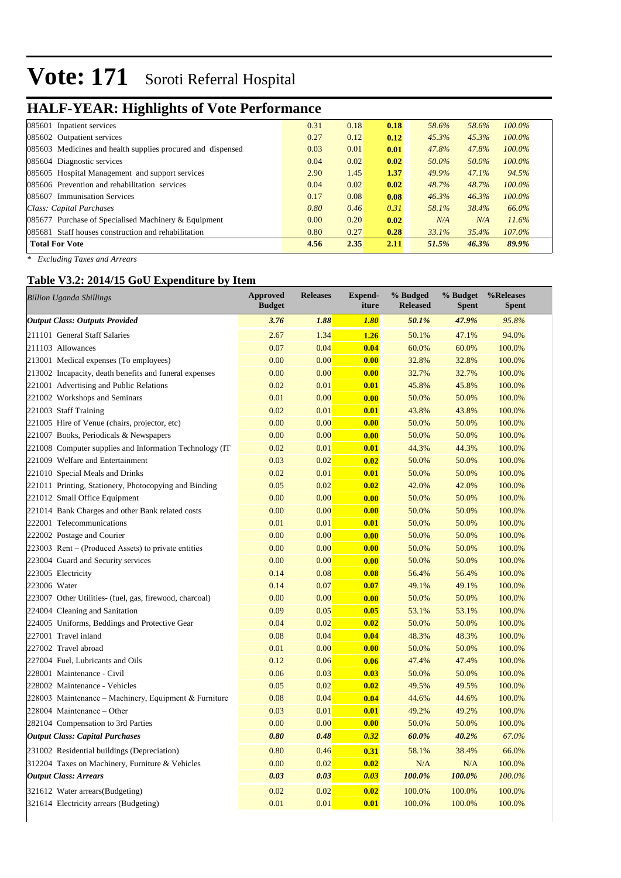## **HALF-YEAR: Highlights of Vote Performance**

| 085601 Inpatient services                                   | 0.31 | 0.18 | 0.18 | 58.6% | 58.6% | $100.0\%$ |
|-------------------------------------------------------------|------|------|------|-------|-------|-----------|
| 085602 Outpatient services                                  | 0.27 | 0.12 | 0.12 | 45.3% | 45.3% | $100.0\%$ |
| 085603 Medicines and health supplies procured and dispensed | 0.03 | 0.01 | 0.01 | 47.8% | 47.8% | $100.0\%$ |
| 085604 Diagnostic services                                  | 0.04 | 0.02 | 0.02 | 50.0% | 50.0% | $100.0\%$ |
| 085605 Hospital Management and support services             | 2.90 | 1.45 | 1.37 | 49.9% | 47.1% | 94.5%     |
| 085606 Prevention and rehabilitation services               | 0.04 | 0.02 | 0.02 | 48.7% | 48.7% | $100.0\%$ |
| 085607 Immunisation Services                                | 0.17 | 0.08 | 0.08 | 46.3% | 46.3% | $100.0\%$ |
| Class: Capital Purchases                                    | 0.80 | 0.46 | 0.31 | 58.1% | 38.4% | 66.0%     |
| 085677 Purchase of Specialised Machinery $&$ Equipment      | 0.00 | 0.20 | 0.02 | N/A   | N/A   | 11.6%     |
| 085681 Staff houses construction and rehabilitation         | 0.80 | 0.27 | 0.28 | 33.1% | 35.4% | 107.0%    |
| <b>Total For Vote</b>                                       | 4.56 | 2.35 | 2.11 | 51.5% | 46.3% | 89.9%     |

*\* Excluding Taxes and Arrears*

#### **Table V3.2: 2014/15 GoU Expenditure by Item**

| <b>Billion Uganda Shillings</b>                          | <b>Approved</b><br><b>Budget</b> | <b>Releases</b> | <b>Expend-</b><br>iture | % Budged<br><b>Released</b> | % Budget<br><b>Spent</b> | %Releases<br><b>Spent</b> |
|----------------------------------------------------------|----------------------------------|-----------------|-------------------------|-----------------------------|--------------------------|---------------------------|
| <b>Output Class: Outputs Provided</b>                    | 3.76                             | 1.88            | 1.80                    | 50.1%                       | 47.9%                    | 95.8%                     |
| 211101 General Staff Salaries                            | 2.67                             | 1.34            | 1.26                    | 50.1%                       | 47.1%                    | 94.0%                     |
| 211103 Allowances                                        | 0.07                             | 0.04            | 0.04                    | 60.0%                       | 60.0%                    | 100.0%                    |
| 213001 Medical expenses (To employees)                   | 0.00                             | 0.00            | 0.00                    | 32.8%                       | 32.8%                    | 100.0%                    |
| 213002 Incapacity, death benefits and funeral expenses   | 0.00                             | 0.00            | 0.00                    | 32.7%                       | 32.7%                    | 100.0%                    |
| 221001 Advertising and Public Relations                  | 0.02                             | 0.01            | 0.01                    | 45.8%                       | 45.8%                    | 100.0%                    |
| 221002 Workshops and Seminars                            | 0.01                             | 0.00            | 0.00                    | 50.0%                       | 50.0%                    | 100.0%                    |
| 221003 Staff Training                                    | 0.02                             | 0.01            | 0.01                    | 43.8%                       | 43.8%                    | 100.0%                    |
| 221005 Hire of Venue (chairs, projector, etc)            | 0.00                             | 0.00            | 0.00                    | 50.0%                       | 50.0%                    | 100.0%                    |
| 221007 Books, Periodicals & Newspapers                   | 0.00                             | 0.00            | 0.00                    | 50.0%                       | 50.0%                    | 100.0%                    |
| 221008 Computer supplies and Information Technology (IT) | 0.02                             | 0.01            | 0.01                    | 44.3%                       | 44.3%                    | 100.0%                    |
| 221009 Welfare and Entertainment                         | 0.03                             | 0.02            | 0.02                    | 50.0%                       | 50.0%                    | 100.0%                    |
| 221010 Special Meals and Drinks                          | 0.02                             | 0.01            | 0.01                    | 50.0%                       | 50.0%                    | 100.0%                    |
| 221011 Printing, Stationery, Photocopying and Binding    | 0.05                             | 0.02            | 0.02                    | 42.0%                       | 42.0%                    | 100.0%                    |
| 221012 Small Office Equipment                            | 0.00                             | 0.00            | 0.00                    | 50.0%                       | 50.0%                    | 100.0%                    |
| 221014 Bank Charges and other Bank related costs         | 0.00                             | 0.00            | 0.00                    | 50.0%                       | 50.0%                    | 100.0%                    |
| 222001 Telecommunications                                | 0.01                             | 0.01            | 0.01                    | 50.0%                       | 50.0%                    | 100.0%                    |
| 222002 Postage and Courier                               | 0.00                             | 0.00            | 0.00                    | 50.0%                       | 50.0%                    | 100.0%                    |
| $223003$ Rent – (Produced Assets) to private entities    | 0.00                             | 0.00            | 0.00                    | 50.0%                       | 50.0%                    | 100.0%                    |
| 223004 Guard and Security services                       | 0.00                             | 0.00            | 0.00                    | 50.0%                       | 50.0%                    | 100.0%                    |
| 223005 Electricity                                       | 0.14                             | 0.08            | 0.08                    | 56.4%                       | 56.4%                    | 100.0%                    |
| 223006 Water                                             | 0.14                             | 0.07            | 0.07                    | 49.1%                       | 49.1%                    | 100.0%                    |
| 223007 Other Utilities- (fuel, gas, firewood, charcoal)  | 0.00                             | 0.00            | 0.00                    | 50.0%                       | 50.0%                    | 100.0%                    |
| 224004 Cleaning and Sanitation                           | 0.09                             | 0.05            | 0.05                    | 53.1%                       | 53.1%                    | 100.0%                    |
| 224005 Uniforms, Beddings and Protective Gear            | 0.04                             | 0.02            | 0.02                    | 50.0%                       | 50.0%                    | 100.0%                    |
| 227001 Travel inland                                     | 0.08                             | 0.04            | 0.04                    | 48.3%                       | 48.3%                    | 100.0%                    |
| 227002 Travel abroad                                     | 0.01                             | 0.00            | 0.00                    | 50.0%                       | 50.0%                    | 100.0%                    |
| 227004 Fuel, Lubricants and Oils                         | 0.12                             | 0.06            | 0.06                    | 47.4%                       | 47.4%                    | 100.0%                    |
| 228001 Maintenance - Civil                               | 0.06                             | 0.03            | 0.03                    | 50.0%                       | 50.0%                    | 100.0%                    |
| 228002 Maintenance - Vehicles                            | 0.05                             | 0.02            | 0.02                    | 49.5%                       | 49.5%                    | 100.0%                    |
| 228003 Maintenance - Machinery, Equipment & Furniture    | 0.08                             | 0.04            | 0.04                    | 44.6%                       | 44.6%                    | 100.0%                    |
| 228004 Maintenance – Other                               | 0.03                             | 0.01            | 0.01                    | 49.2%                       | 49.2%                    | 100.0%                    |
| 282104 Compensation to 3rd Parties                       | 0.00                             | 0.00            | 0.00                    | 50.0%                       | 50.0%                    | 100.0%                    |
| <b>Output Class: Capital Purchases</b>                   | 0.80                             | 0.48            | 0.32                    | 60.0%                       | 40.2%                    | 67.0%                     |
| 231002 Residential buildings (Depreciation)              | 0.80                             | 0.46            | 0.31                    | 58.1%                       | 38.4%                    | 66.0%                     |
| 312204 Taxes on Machinery, Furniture & Vehicles          | 0.00                             | 0.02            | 0.02                    | N/A                         | N/A                      | 100.0%                    |
| <b>Output Class: Arrears</b>                             | 0.03                             | 0.03            | 0.03                    | 100.0%                      | 100.0%                   | 100.0%                    |
| 321612 Water arrears (Budgeting)                         | 0.02                             | 0.02            | 0.02                    | 100.0%                      | 100.0%                   | 100.0%                    |
| 321614 Electricity arrears (Budgeting)                   | 0.01                             | 0.01            | 0.01                    | 100.0%                      | 100.0%                   | 100.0%                    |
|                                                          |                                  |                 |                         |                             |                          |                           |